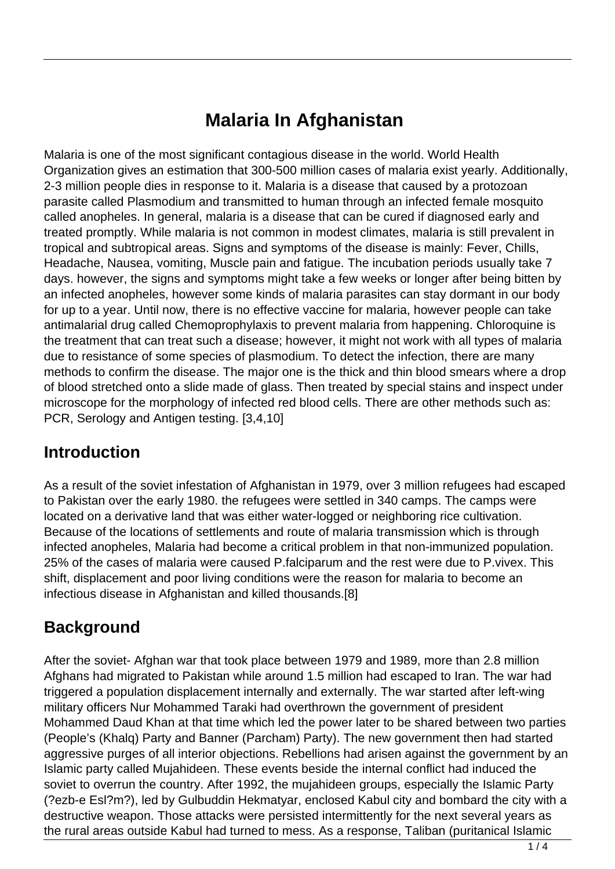# **Malaria In Afghanistan**

Malaria is one of the most significant contagious disease in the world. World Health Organization gives an estimation that 300-500 million cases of malaria exist yearly. Additionally, 2-3 million people dies in response to it. Malaria is a disease that caused by a protozoan parasite called Plasmodium and transmitted to human through an infected female mosquito called anopheles. In general, malaria is a disease that can be cured if diagnosed early and treated promptly. While malaria is not common in modest climates, malaria is still prevalent in tropical and subtropical areas. Signs and symptoms of the disease is mainly: Fever, Chills, Headache, Nausea, vomiting, Muscle pain and fatigue. The incubation periods usually take 7 days. however, the signs and symptoms might take a few weeks or longer after being bitten by an infected anopheles, however some kinds of malaria parasites can stay dormant in our body for up to a year. Until now, there is no effective vaccine for malaria, however people can take antimalarial drug called Chemoprophylaxis to prevent malaria from happening. Chloroquine is the treatment that can treat such a disease; however, it might not work with all types of malaria due to resistance of some species of plasmodium. To detect the infection, there are many methods to confirm the disease. The major one is the thick and thin blood smears where a drop of blood stretched onto a slide made of glass. Then treated by special stains and inspect under microscope for the morphology of infected red blood cells. There are other methods such as: PCR, Serology and Antigen testing. [3,4,10]

### **Introduction**

As a result of the soviet infestation of Afghanistan in 1979, over 3 million refugees had escaped to Pakistan over the early 1980. the refugees were settled in 340 camps. The camps were located on a derivative land that was either water-logged or neighboring rice cultivation. Because of the locations of settlements and route of malaria transmission which is through infected anopheles, Malaria had become a critical problem in that non-immunized population. 25% of the cases of malaria were caused P.falciparum and the rest were due to P.vivex. This shift, displacement and poor living conditions were the reason for malaria to become an infectious disease in Afghanistan and killed thousands.[8]

## **Background**

After the soviet- Afghan war that took place between 1979 and 1989, more than 2.8 million Afghans had migrated to Pakistan while around 1.5 million had escaped to Iran. The war had triggered a population displacement internally and externally. The war started after left-wing military officers Nur Mohammed Taraki had overthrown the government of president Mohammed Daud Khan at that time which led the power later to be shared between two parties (People's (Khalq) Party and Banner (Parcham) Party). The new government then had started aggressive purges of all interior objections. Rebellions had arisen against the government by an Islamic party called Mujahideen. These events beside the internal conflict had induced the soviet to overrun the country. After 1992, the mujahideen groups, especially the Islamic Party (?ezb-e Esl?m?), led by Gulbuddin Hekmatyar, enclosed Kabul city and bombard the city with a destructive weapon. Those attacks were persisted intermittently for the next several years as the rural areas outside Kabul had turned to mess. As a response, Taliban (puritanical Islamic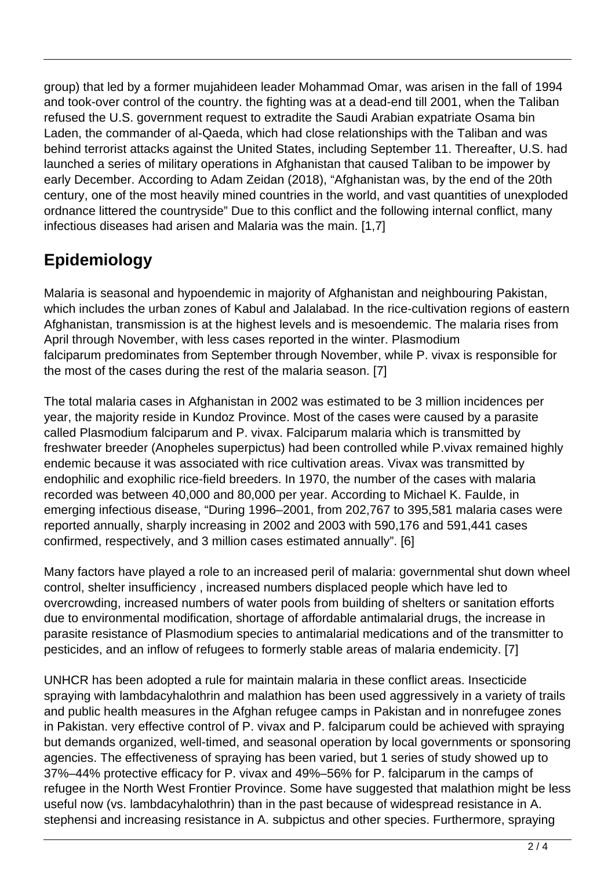group) that led by a former mujahideen leader Mohammad Omar, was arisen in the fall of 1994 and took-over control of the country. the fighting was at a dead-end till 2001, when the Taliban refused the U.S. government request to extradite the Saudi Arabian expatriate Osama bin Laden, the commander of al-Qaeda, which had close relationships with the Taliban and was behind terrorist attacks against the United States, including September 11. Thereafter, U.S. had launched a series of military operations in Afghanistan that caused Taliban to be impower by early December. According to Adam Zeidan (2018), "Afghanistan was, by the end of the 20th century, one of the most heavily mined countries in the world, and vast quantities of unexploded ordnance littered the countryside" Due to this conflict and the following internal conflict, many infectious diseases had arisen and Malaria was the main. [1,7]

## **Epidemiology**

Malaria is seasonal and hypoendemic in majority of Afghanistan and neighbouring Pakistan, which includes the urban zones of Kabul and Jalalabad. In the rice-cultivation regions of eastern Afghanistan, transmission is at the highest levels and is mesoendemic. The malaria rises from April through November, with less cases reported in the winter. Plasmodium falciparum predominates from September through November, while P. vivax is responsible for the most of the cases during the rest of the malaria season. [7]

The total malaria cases in Afghanistan in 2002 was estimated to be 3 million incidences per year, the majority reside in Kundoz Province. Most of the cases were caused by a parasite called Plasmodium falciparum and P. vivax. Falciparum malaria which is transmitted by freshwater breeder (Anopheles superpictus) had been controlled while P.vivax remained highly endemic because it was associated with rice cultivation areas. Vivax was transmitted by endophilic and exophilic rice-field breeders. In 1970, the number of the cases with malaria recorded was between 40,000 and 80,000 per year. According to Michael K. Faulde, in emerging infectious disease, "During 1996–2001, from 202,767 to 395,581 malaria cases were reported annually, sharply increasing in 2002 and 2003 with 590,176 and 591,441 cases confirmed, respectively, and 3 million cases estimated annually". [6]

Many factors have played a role to an increased peril of malaria: governmental shut down wheel control, shelter insufficiency , increased numbers displaced people which have led to overcrowding, increased numbers of water pools from building of shelters or sanitation efforts due to environmental modification, shortage of affordable antimalarial drugs, the increase in parasite resistance of Plasmodium species to antimalarial medications and of the transmitter to pesticides, and an inflow of refugees to formerly stable areas of malaria endemicity. [7]

UNHCR has been adopted a rule for maintain malaria in these conflict areas. Insecticide spraying with lambdacyhalothrin and malathion has been used aggressively in a variety of trails and public health measures in the Afghan refugee camps in Pakistan and in nonrefugee zones in Pakistan. very effective control of P. vivax and P. falciparum could be achieved with spraying but demands organized, well-timed, and seasonal operation by local governments or sponsoring agencies. The effectiveness of spraying has been varied, but 1 series of study showed up to 37%–44% protective efficacy for P. vivax and 49%–56% for P. falciparum in the camps of refugee in the North West Frontier Province. Some have suggested that malathion might be less useful now (vs. lambdacyhalothrin) than in the past because of widespread resistance in A. stephensi and increasing resistance in A. subpictus and other species. Furthermore, spraying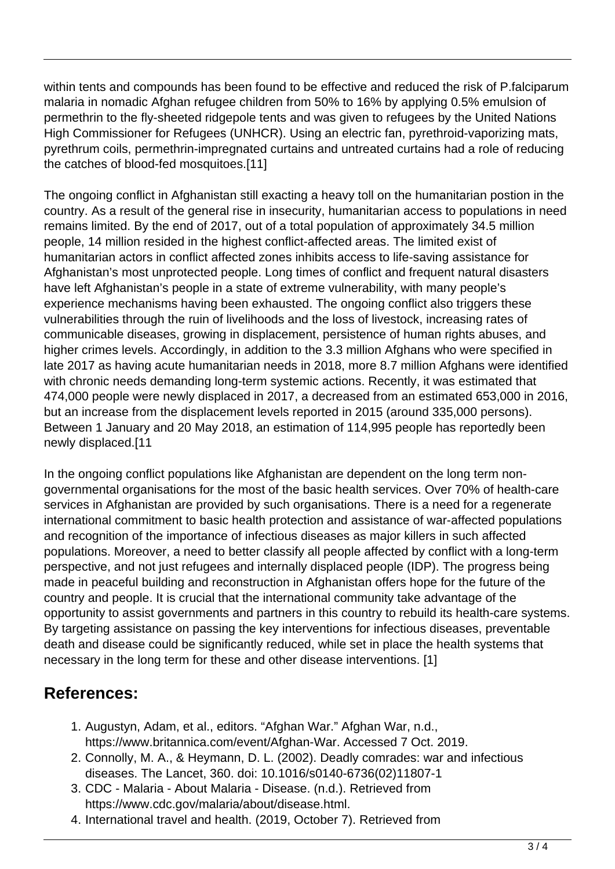within tents and compounds has been found to be effective and reduced the risk of P.falciparum malaria in nomadic Afghan refugee children from 50% to 16% by applying 0.5% emulsion of permethrin to the fly-sheeted ridgepole tents and was given to refugees by the United Nations High Commissioner for Refugees (UNHCR). Using an electric fan, pyrethroid-vaporizing mats, pyrethrum coils, permethrin-impregnated curtains and untreated curtains had a role of reducing the catches of blood-fed mosquitoes.[11]

The ongoing conflict in Afghanistan still exacting a heavy toll on the humanitarian postion in the country. As a result of the general rise in insecurity, humanitarian access to populations in need remains limited. By the end of 2017, out of a total population of approximately 34.5 million people, 14 million resided in the highest conflict-affected areas. The limited exist of humanitarian actors in conflict affected zones inhibits access to life-saving assistance for Afghanistan's most unprotected people. Long times of conflict and frequent natural disasters have left Afghanistan's people in a state of extreme vulnerability, with many people's experience mechanisms having been exhausted. The ongoing conflict also triggers these vulnerabilities through the ruin of livelihoods and the loss of livestock, increasing rates of communicable diseases, growing in displacement, persistence of human rights abuses, and higher crimes levels. Accordingly, in addition to the 3.3 million Afghans who were specified in late 2017 as having acute humanitarian needs in 2018, more 8.7 million Afghans were identified with chronic needs demanding long-term systemic actions. Recently, it was estimated that 474,000 people were newly displaced in 2017, a decreased from an estimated 653,000 in 2016, but an increase from the displacement levels reported in 2015 (around 335,000 persons). Between 1 January and 20 May 2018, an estimation of 114,995 people has reportedly been newly displaced.[11

In the ongoing conflict populations like Afghanistan are dependent on the long term nongovernmental organisations for the most of the basic health services. Over 70% of health-care services in Afghanistan are provided by such organisations. There is a need for a regenerate international commitment to basic health protection and assistance of war-affected populations and recognition of the importance of infectious diseases as major killers in such affected populations. Moreover, a need to better classify all people affected by conflict with a long-term perspective, and not just refugees and internally displaced people (IDP). The progress being made in peaceful building and reconstruction in Afghanistan offers hope for the future of the country and people. It is crucial that the international community take advantage of the opportunity to assist governments and partners in this country to rebuild its health-care systems. By targeting assistance on passing the key interventions for infectious diseases, preventable death and disease could be significantly reduced, while set in place the health systems that necessary in the long term for these and other disease interventions. [1]

### **References:**

- 1. Augustyn, Adam, et al., editors. "Afghan War." Afghan War, n.d., https://www.britannica.com/event/Afghan-War. Accessed 7 Oct. 2019.
- 2. Connolly, M. A., & Heymann, D. L. (2002). Deadly comrades: war and infectious diseases. The Lancet, 360. doi: 10.1016/s0140-6736(02)11807-1
- 3. CDC Malaria About Malaria Disease. (n.d.). Retrieved from https://www.cdc.gov/malaria/about/disease.html.
- 4. International travel and health. (2019, October 7). Retrieved from